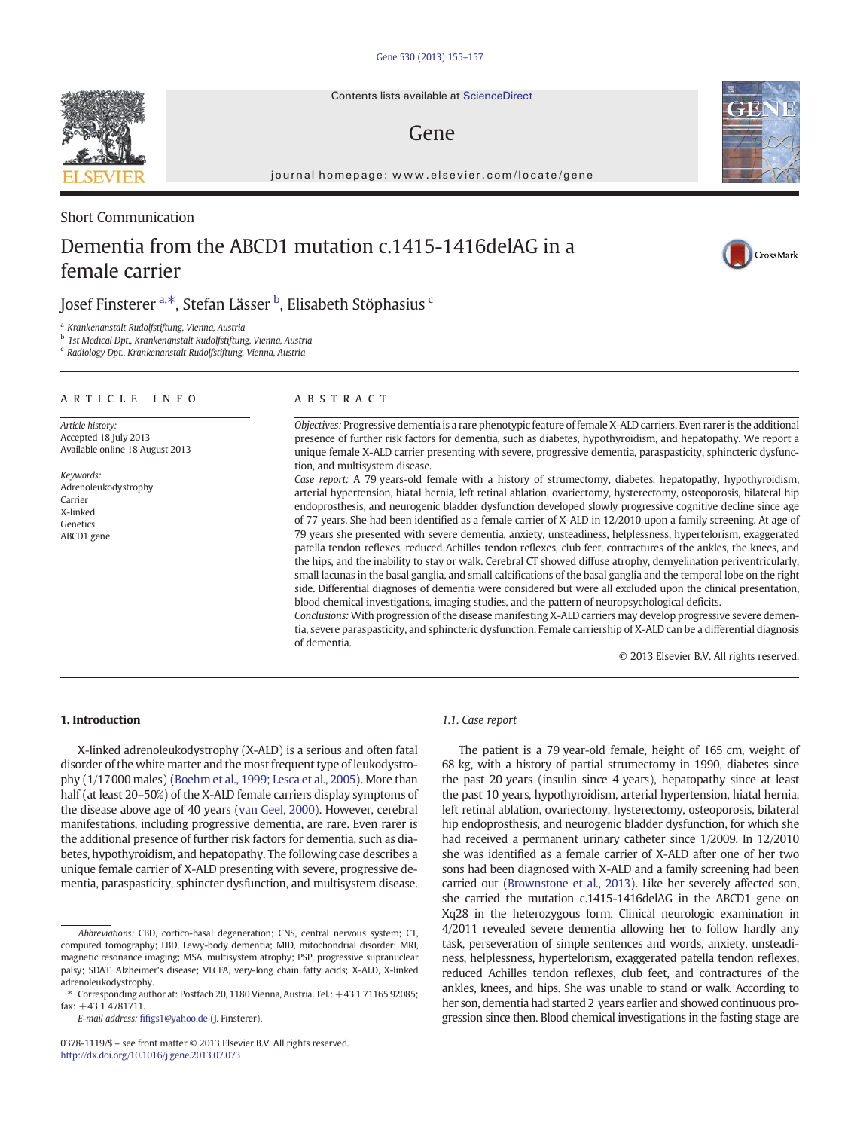Contents lists available at ScienceDirect

# Gene

journal homepage: www.elsevier.com/locate/gene

## Short Communication

# Dementia from the ABCD1 mutation c.1415-1416delAG in a female carrier

# Josef Finsterer <sup>a,\*</sup>, Stefan Lässer <sup>b</sup>, Elisabeth Stöphasius <sup>c</sup>

<sup>a</sup> Krankenanstalt Rudolfstiftung, Vienna, Austria

<sup>b</sup> 1st Medical Dpt., Krankenanstalt Rudolfstiftung, Vienna, Austria

<sup>c</sup> Radiology Dpt., Krankenanstalt Rudolfstiftung, Vienna, Austria

### article info abstract

Article history: Accepted 18 July 2013 Available online 18 August 2013

Keywords: Adrenoleukodystrophy Carrier X-linked Genetics ABCD1 gene

Objectives: Progressive dementia is a rare phenotypic feature of female X-ALD carriers. Even rarer is the additional presence of further risk factors for dementia, such as diabetes, hypothyroidism, and hepatopathy. We report a unique female X-ALD carrier presenting with severe, progressive dementia, paraspasticity, sphincteric dysfunction, and multisystem disease.

Case report: A 79 years-old female with a history of strumectomy, diabetes, hepatopathy, hypothyroidism, arterial hypertension, hiatal hernia, left retinal ablation, ovariectomy, hysterectomy, osteoporosis, bilateral hip endoprosthesis, and neurogenic bladder dysfunction developed slowly progressive cognitive decline since age of 77 years. She had been identified as a female carrier of X-ALD in 12/2010 upon a family screening. At age of 79 years she presented with severe dementia, anxiety, unsteadiness, helplessness, hypertelorism, exaggerated patella tendon reflexes, reduced Achilles tendon reflexes, club feet, contractures of the ankles, the knees, and the hips, and the inability to stay or walk. Cerebral CT showed diffuse atrophy, demyelination periventricularly, small lacunas in the basal ganglia, and small calcifications of the basal ganglia and the temporal lobe on the right side. Differential diagnoses of dementia were considered but were all excluded upon the clinical presentation, blood chemical investigations, imaging studies, and the pattern of neuropsychological deficits.

Conclusions: With progression of the disease manifesting X-ALD carriers may develop progressive severe dementia, severe paraspasticity, and sphincteric dysfunction. Female carriership of X-ALD can be a differential diagnosis of dementia.

© 2013 Elsevier B.V. All rights reserved.

### 1. Introduction

X-linked adrenoleukodystrophy (X-ALD) is a serious and often fatal disorder of the white matter and the most frequent type of leukodystrophy (1/17000 males) ([Boehm et al., 1999; Lesca et al., 2005\)](#page-2-0). More than half (at least 20–50%) of the X-ALD female carriers display symptoms of the disease above age of 40 years [\(van Geel, 2000\)](#page-2-0). However, cerebral manifestations, including progressive dementia, are rare. Even rarer is the additional presence of further risk factors for dementia, such as diabetes, hypothyroidism, and hepatopathy. The following case describes a unique female carrier of X-ALD presenting with severe, progressive dementia, paraspasticity, sphincter dysfunction, and multisystem disease.

E-mail address: fifi[gs1@yahoo.de](mailto:fifigs1@yahoo.de) (J. Finsterer).

### 1.1. Case report

The patient is a 79 year-old female, height of 165 cm, weight of 68 kg, with a history of partial strumectomy in 1990, diabetes since the past 20 years (insulin since 4 years), hepatopathy since at least the past 10 years, hypothyroidism, arterial hypertension, hiatal hernia, left retinal ablation, ovariectomy, hysterectomy, osteoporosis, bilateral hip endoprosthesis, and neurogenic bladder dysfunction, for which she had received a permanent urinary catheter since 1/2009. In 12/2010 she was identified as a female carrier of X-ALD after one of her two sons had been diagnosed with X-ALD and a family screening had been carried out ([Brownstone et al., 2013](#page-2-0)). Like her severely affected son, she carried the mutation c.1415-1416delAG in the ABCD1 gene on Xq28 in the heterozygous form. Clinical neurologic examination in 4/2011 revealed severe dementia allowing her to follow hardly any task, perseveration of simple sentences and words, anxiety, unsteadiness, helplessness, hypertelorism, exaggerated patella tendon reflexes, reduced Achilles tendon reflexes, club feet, and contractures of the ankles, knees, and hips. She was unable to stand or walk. According to her son, dementia had started 2 years earlier and showed continuous progression since then. Blood chemical investigations in the fasting stage are







Abbreviations: CBD, cortico-basal degeneration; CNS, central nervous system; CT, computed tomography; LBD, Lewy-body dementia; MID, mitochondrial disorder; MRI, magnetic resonance imaging; MSA, multisystem atrophy; PSP, progressive supranuclear palsy; SDAT, Alzheimer's disease; VLCFA, very-long chain fatty acids; X-ALD, X-linked adrenoleukodystrophy.

Corresponding author at: Postfach 20, 1180 Vienna, Austria. Tel.: +43 1 71165 92085; fax: +43 1 4781711.

<sup>0378-1119/\$</sup> – see front matter © 2013 Elsevier B.V. All rights reserved. <http://dx.doi.org/10.1016/j.gene.2013.07.073>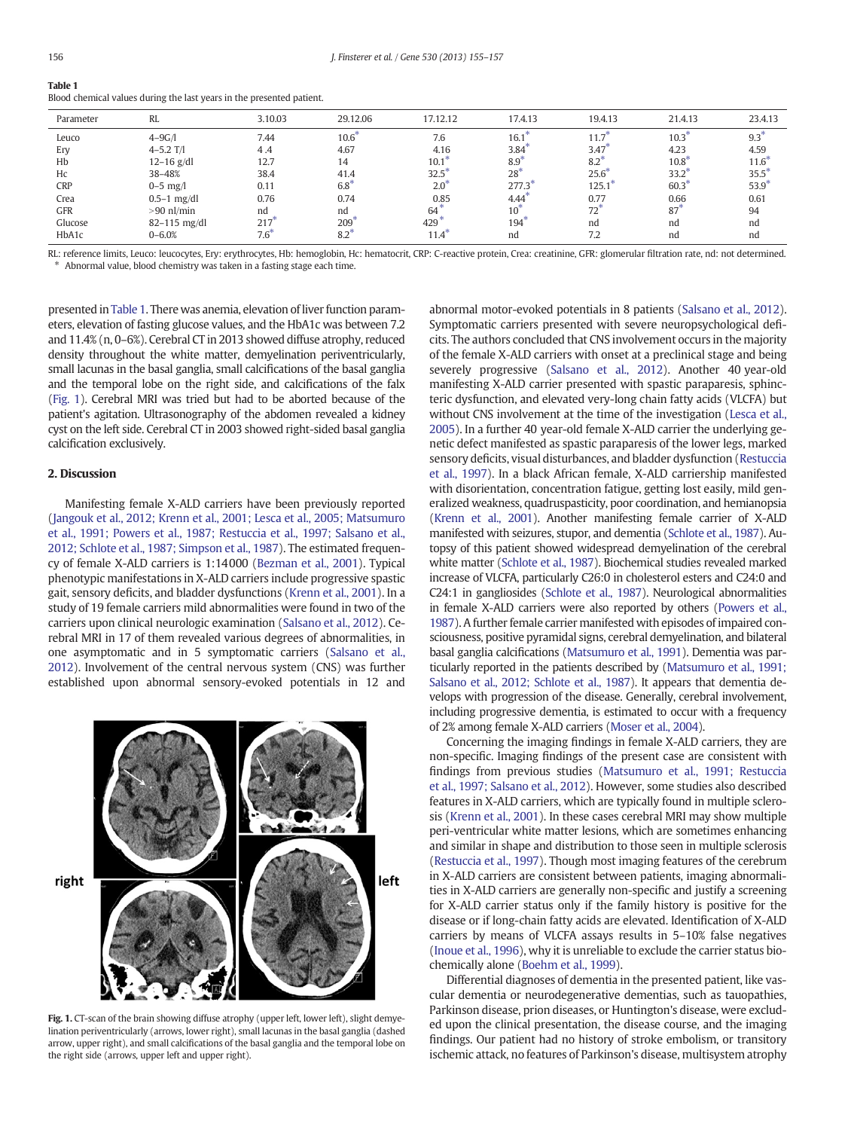| ۰<br>٠<br>$\sim$ | ۰.<br>$\sim$ |  |
|------------------|--------------|--|
|                  |              |  |

| Parameter  | RL               | 3.10.03   | 29.12.06         | 17.12.12       | 17.4.13         | 19.4.13          | 21.4.13    | 23.4.13  |
|------------|------------------|-----------|------------------|----------------|-----------------|------------------|------------|----------|
| Leuco      | $4 - 9G/1$       | 7.44      | $10.6^{\degree}$ | 7.6            | 16.1            | 11.7             | $10.3^{7}$ | 9.3      |
| Erv        | $4 - 5.2$ T/I    | 4.4       | 4.67             | 4.16           | 3.84            | 3.47             | 4.23       | 4.59     |
| Hb         | $12 - 16$ g/dl   | 12.7      | 14               | 10.1           | $8.9^{\circ}$   | $8.2*$           | $10.8^*$   | $11.6^*$ |
| Hc         | 38-48%           | 38.4      | 41.4             | $32.5^{\circ}$ | $28^{*}$        | $25.6^{\degree}$ | $33.2*$    | $35.5*$  |
| <b>CRP</b> | $0 - 5$ mg/l     | 0.11      | $6.8^{*}$        | $2.0^{\circ}$  | 277.3           | $125.1^*$        | $60.3*$    | $53.9^*$ |
| Crea       | $0.5-1$ mg/dl    | 0.76      | 0.74             | 0.85           | 4.44            | 0.77             | 0.66       | 0.61     |
| <b>GFR</b> | $>90$ nl/min     | nd        | nd               | $64^{\degree}$ | $10^{\circ}$    | 72 <sup>7</sup>  | $87^*$     | 94       |
| Glucose    | $82 - 115$ mg/dl | 217'      | 209              | 429            | $194^{\degree}$ | nd               | nd         | nd       |
| HbA1c      | $0 - 6.0%$       | $7.6^{*}$ | $8.2^{\degree}$  | 11.4           | nd              |                  | nd         | nd       |

Table 1 Blood chemical values during the last years in the presented patient.

RL: reference limits, Leuco: leucocytes, Ery: erythrocytes, Hb: hemoglobin, Hc: hematocrit, CRP: C-reactive protein, Crea: creatinine, GFR: glomerular filtration rate, nd: not determined. Abnormal value, blood chemistry was taken in a fasting stage each time.

presented in Table 1. There was anemia, elevation of liver function parameters, elevation of fasting glucose values, and the HbA1c was between 7.2 and 11.4% (n, 0–6%). Cerebral CT in 2013 showed diffuse atrophy, reduced density throughout the white matter, demyelination periventricularly, small lacunas in the basal ganglia, small calcifications of the basal ganglia and the temporal lobe on the right side, and calcifications of the falx (Fig. 1). Cerebral MRI was tried but had to be aborted because of the patient's agitation. Ultrasonography of the abdomen revealed a kidney cyst on the left side. Cerebral CT in 2003 showed right-sided basal ganglia calcification exclusively.

### 2. Discussion

Manifesting female X-ALD carriers have been previously reported [\(Jangouk et al., 2012; Krenn et al., 2001; Lesca et al., 2005; Matsumuro](#page-2-0) [et al., 1991; Powers et al., 1987; Restuccia et al., 1997; Salsano et al.,](#page-2-0) [2012; Schlote et al., 1987; Simpson et al., 1987\)](#page-2-0). The estimated frequency of female X-ALD carriers is 1:14000 ([Bezman et al., 2001\)](#page-2-0). Typical phenotypic manifestations in X-ALD carriers include progressive spastic gait, sensory deficits, and bladder dysfunctions [\(Krenn et al., 2001\)](#page-2-0). In a study of 19 female carriers mild abnormalities were found in two of the carriers upon clinical neurologic examination ([Salsano et al., 2012\)](#page-2-0). Cerebral MRI in 17 of them revealed various degrees of abnormalities, in one asymptomatic and in 5 symptomatic carriers [\(Salsano et al.,](#page-2-0) [2012\)](#page-2-0). Involvement of the central nervous system (CNS) was further established upon abnormal sensory-evoked potentials in 12 and



Fig. 1. CT-scan of the brain showing diffuse atrophy (upper left, lower left), slight demyelination periventricularly (arrows, lower right), small lacunas in the basal ganglia (dashed arrow, upper right), and small calcifications of the basal ganglia and the temporal lobe on the right side (arrows, upper left and upper right).

abnormal motor-evoked potentials in 8 patients [\(Salsano et al., 2012\)](#page-2-0). Symptomatic carriers presented with severe neuropsychological deficits. The authors concluded that CNS involvement occurs in the majority of the female X-ALD carriers with onset at a preclinical stage and being severely progressive [\(Salsano et al., 2012\)](#page-2-0). Another 40 year-old manifesting X-ALD carrier presented with spastic paraparesis, sphincteric dysfunction, and elevated very-long chain fatty acids (VLCFA) but without CNS involvement at the time of the investigation ([Lesca et al.,](#page-2-0) [2005\)](#page-2-0). In a further 40 year-old female X-ALD carrier the underlying genetic defect manifested as spastic paraparesis of the lower legs, marked sensory deficits, visual disturbances, and bladder dysfunction ([Restuccia](#page-2-0) [et al., 1997](#page-2-0)). In a black African female, X-ALD carriership manifested with disorientation, concentration fatigue, getting lost easily, mild generalized weakness, quadruspasticity, poor coordination, and hemianopsia [\(Krenn et al., 2001](#page-2-0)). Another manifesting female carrier of X-ALD manifested with seizures, stupor, and dementia [\(Schlote et al., 1987](#page-2-0)). Autopsy of this patient showed widespread demyelination of the cerebral white matter ([Schlote et al., 1987](#page-2-0)). Biochemical studies revealed marked increase of VLCFA, particularly C26:0 in cholesterol esters and C24:0 and C24:1 in gangliosides [\(Schlote et al., 1987\)](#page-2-0). Neurological abnormalities in female X-ALD carriers were also reported by others ([Powers et al.,](#page-2-0) [1987](#page-2-0)). A further female carrier manifested with episodes of impaired consciousness, positive pyramidal signs, cerebral demyelination, and bilateral basal ganglia calcifications [\(Matsumuro et al., 1991\)](#page-2-0). Dementia was particularly reported in the patients described by ([Matsumuro et al., 1991;](#page-2-0) [Salsano et al., 2012; Schlote et al., 1987\)](#page-2-0). It appears that dementia develops with progression of the disease. Generally, cerebral involvement, including progressive dementia, is estimated to occur with a frequency of 2% among female X-ALD carriers [\(Moser et al., 2004](#page-2-0)).

Concerning the imaging findings in female X-ALD carriers, they are non-specific. Imaging findings of the present case are consistent with findings from previous studies [\(Matsumuro et al., 1991; Restuccia](#page-2-0) [et al., 1997; Salsano et al., 2012\)](#page-2-0). However, some studies also described features in X-ALD carriers, which are typically found in multiple sclerosis [\(Krenn et al., 2001\)](#page-2-0). In these cases cerebral MRI may show multiple peri-ventricular white matter lesions, which are sometimes enhancing and similar in shape and distribution to those seen in multiple sclerosis [\(Restuccia et al., 1997\)](#page-2-0). Though most imaging features of the cerebrum in X-ALD carriers are consistent between patients, imaging abnormalities in X-ALD carriers are generally non-specific and justify a screening for X-ALD carrier status only if the family history is positive for the disease or if long-chain fatty acids are elevated. Identification of X-ALD carriers by means of VLCFA assays results in 5–10% false negatives [\(Inoue et al., 1996](#page-2-0)), why it is unreliable to exclude the carrier status biochemically alone ([Boehm et al., 1999](#page-2-0)).

Differential diagnoses of dementia in the presented patient, like vascular dementia or neurodegenerative dementias, such as tauopathies, Parkinson disease, prion diseases, or Huntington's disease, were excluded upon the clinical presentation, the disease course, and the imaging findings. Our patient had no history of stroke embolism, or transitory ischemic attack, no features of Parkinson's disease, multisystem atrophy